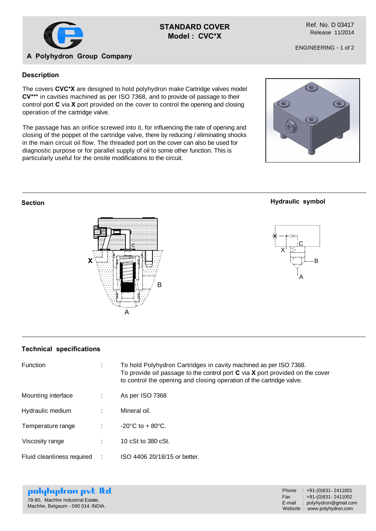

## **STANDARD COVER Model : CVC\*X**

Ref. No. D 03417 Release 11/2014

ENGINEERING - 1 of 2

# **A Polyhydron Group Company**

## **Description**

The covers **CVC\*X** are designed to hold polyhydron make Cartridge valves model **CV\*\*\*** in cavities machined as per ISO 7368, and to provide oil passage to their control port **C** via **X** port provided on the cover to control the opening and closing operation of the cartridge valve.

The passage has an orifice screwed into it, for influencing the rate of opening and closing of the poppet of the cartridge valve, there by reducing / eliminating shocks in the main circuit oil flow. The threaded port on the cover can also be used for diagnostic purpose or for parallel supply of oil to some other function. This is particularly useful for the onsite modifications to the circuit.



### **Section**





A

**Hydraulic symbol**

#### **Technical specifications**

| Function                   | ÷ | To hold Polyhydron Cartridges in cavity machined as per ISO 7368.<br>To provide oil passage to the control port $C$ via $X$ port provided on the cover<br>to control the opening and closing operation of the cartridge valve. |
|----------------------------|---|--------------------------------------------------------------------------------------------------------------------------------------------------------------------------------------------------------------------------------|
| Mounting interface         | ÷ | As per ISO 7368                                                                                                                                                                                                                |
| Hydraulic medium           |   | Mineral oil.                                                                                                                                                                                                                   |
| Temperature range          |   | $-20^{\circ}$ C to $+80^{\circ}$ C.                                                                                                                                                                                            |
| Viscosity range            |   | 10 cSt to 380 cSt.                                                                                                                                                                                                             |
| Fluid cleanliness required |   | ISO 4406 20/18/15 or better.                                                                                                                                                                                                   |

|  |                                   | polyhydron pvt. Itd. |
|--|-----------------------------------|----------------------|
|  | 78-80, Machhe Industrial Estate,  |                      |
|  | Machhe, Belgaum - 590 014. INDIA. |                      |